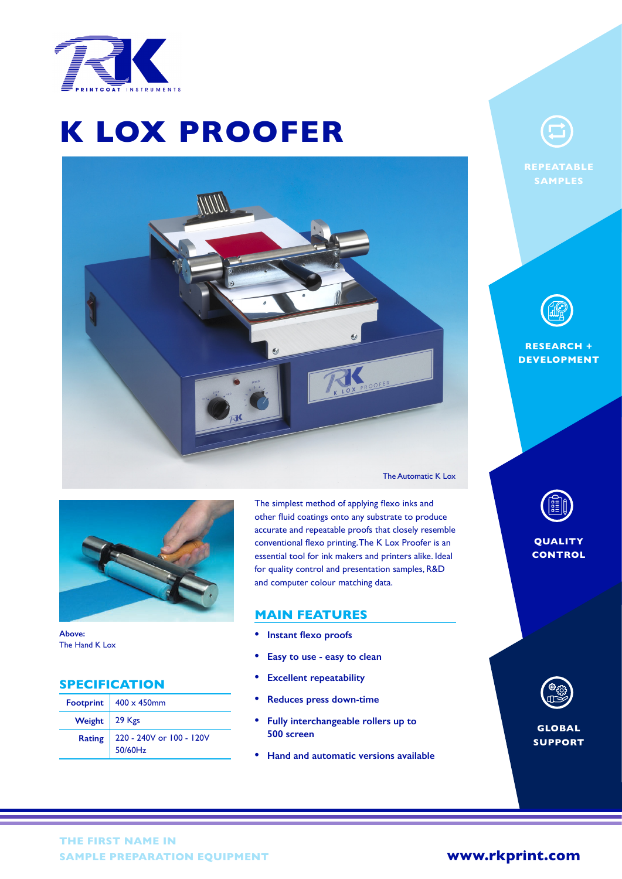

# OX P **K LOX PROOFER**





**Above:** The Hand K Lox

## **SPECIFICATION**

|                 | Footprint $ 400 \times 450$ mm      |
|-----------------|-------------------------------------|
| Weight   29 Kgs |                                     |
| <b>Rating</b>   | 220 - 240V or 100 - 120V<br>50/60Hz |

The simplest method of applying flexo inks and other fluid coatings onto any substrate to produce accurate and repeatable proofs that closely resemble conventional flexo printing. The K Lox Proofer is an essential tool for ink makers and printers alike. Ideal for quality control and presentation samples, R&D and computer colour matching data.

#### **MAIN FEATURES**

- **• Instant flexo proofs**
- **• Easy to use easy to clean**
- **• Excellent repeatability**
- **• Reduces press down-time**
- **• Fully interchangeable rollers up to 500 screen**
- **• Hand and automatic versions available**



**REPEATABLE SAMPLES**



**RESEARCH + DEVELOPMENT**



**QUALITY CONTROL**



**GLOBAL SUPPORT**